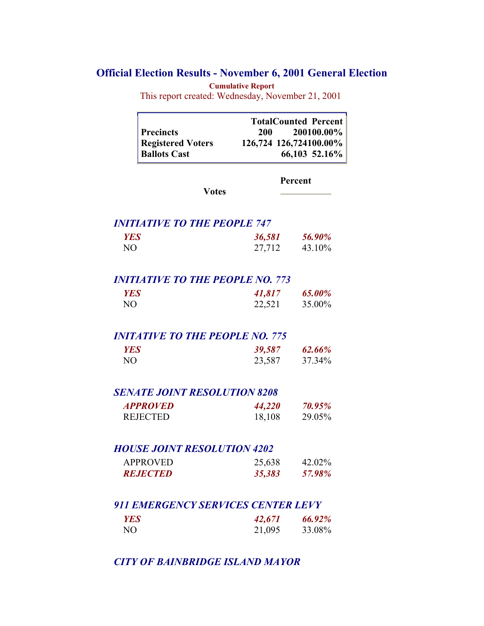## **Official Election Results - November 6, 2001 General Election**

**Cumulative Report**

This report created: Wednesday, November 21, 2001

|                          | <b>TotalCounted Percent</b> |
|--------------------------|-----------------------------|
| <b>Precincts</b>         | 200100.00%<br>200           |
| <b>Registered Voters</b> | 126,724 126,724100.00%      |
| <b>Ballots Cast</b>      | 66,103 52.16%               |

**Percent**

# *INITIATIVE TO THE PEOPLE 747*

| пчилите то ние геогре 77 |        |        |
|--------------------------|--------|--------|
| YES                      | 36,581 | 56.90% |
| NO.                      | 27,712 | 43.10% |

**Votes**

## *INITIATIVE TO THE PEOPLE NO. 773*

| <b>YES</b> | 41,817 | 65.00% |
|------------|--------|--------|
| NO.        | 22,521 | 35.00% |

#### *INITATIVE TO THE PEOPLE NO. 775*

| YES | 39,587 | 62.66% |
|-----|--------|--------|
| NO. | 23,587 | 37.34% |

#### *SENATE JOINT RESOLUTION 8208*

| <b>APPROVED</b> | 44,220 | 70.95% |
|-----------------|--------|--------|
| <b>REJECTED</b> | 18,108 | 29.05% |

## *HOUSE JOINT RESOLUTION 4202*

| <b>APPROVED</b>        | 25,638 | 42.02% |
|------------------------|--------|--------|
| <i><b>REJECTED</b></i> | 35,383 | 57.98% |

## *911 EMERGENCY SERVICES CENTER LEVY*

| YES | 42,671 | 66.92% |
|-----|--------|--------|
| NО  | 21,095 | 33.08% |

## *CITY OF BAINBRIDGE ISLAND MAYOR*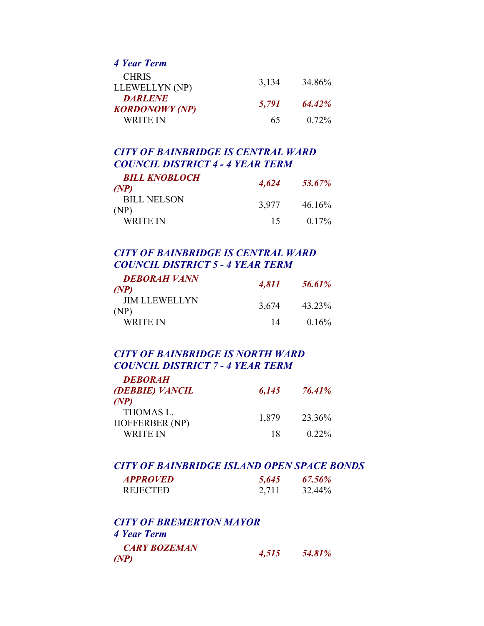*4 Year Term* 

| <b>CHRIS</b>          |       | 34.86 <sup>%</sup> |
|-----------------------|-------|--------------------|
| LLEWELLYN (NP)        | 3,134 |                    |
| <b>DARLENE</b>        | 5,791 | $64.42\%$          |
| <b>KORDONOWY</b> (NP) |       |                    |
| WRITE IN              | 65    | $0.72\%$           |

### *CITY OF BAINBRIDGE IS CENTRAL WARD COUNCIL DISTRICT 4 - 4 YEAR TERM*

| <b>BILL KNOBLOCH</b>       | 4,624 | 53.67%    |
|----------------------------|-------|-----------|
| (NP)                       |       |           |
| <b>BILL NELSON</b><br>(NP) | 3.977 | $46.16\%$ |
| WRITE IN                   | 15    | $0.17\%$  |

## *CITY OF BAINBRIDGE IS CENTRAL WARD COUNCIL DISTRICT 5 - 4 YEAR TERM*

| <b>DEBORAH VANN</b><br>(NP)  | 4,811 | 56.61%   |
|------------------------------|-------|----------|
| <b>JIM LLEWELLYN</b><br>(NP) | 3,674 | 43 23%   |
| WRITE IN                     | 14    | $0.16\%$ |

## *CITY OF BAINBRIDGE IS NORTH WARD COUNCIL DISTRICT 7 - 4 YEAR TERM*

| <b>DEBORAH</b>                            |       |               |
|-------------------------------------------|-------|---------------|
| (DEBBIE) VANCIL                           | 6,145 | <b>76.41%</b> |
| (P(P)                                     |       |               |
| <b>THOMAS L.</b><br><b>HOFFERBER (NP)</b> | 1,879 | 23.36%        |
| WRITE IN                                  | 18    | $0.22\%$      |

## *CITY OF BAINBRIDGE ISLAND OPEN SPACE BONDS*

| <b>APPROVED</b> | 5,645 | 67.56% |
|-----------------|-------|--------|
| <b>REJECTED</b> | 2,711 | 32.44% |

| <b>CITY OF BREMERTON MAYOR</b> |       |        |
|--------------------------------|-------|--------|
| 4 Year Term                    |       |        |
| <b>CARY BOZEMAN</b>            | 4,515 | 54.81% |
| (P <sup>NP</sup> )             |       |        |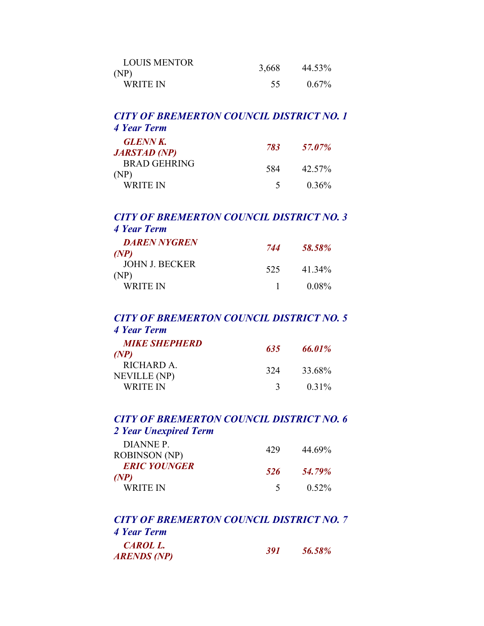| <b>LOUIS MENTOR</b><br>(NP) | 3,668 | 44.53%   |
|-----------------------------|-------|----------|
| WRITE IN                    | 55    | $0.67\%$ |

## *CITY OF BREMERTON COUNCIL DISTRICT NO. 1 4 Year Term*

| <b>GLENN K.</b><br><b>JARSTAD</b> (NP) | 783           | 57.07%   |
|----------------------------------------|---------------|----------|
| <b>BRAD GEHRING</b><br>(NP)            | 584           | 42.57%   |
| WRITE IN                               | $\rightarrow$ | $0.36\%$ |

## *CITY OF BREMERTON COUNCIL DISTRICT NO. 3 4 Year Term*

| <b>DAREN NYGREN</b>           | 744          | 58.58%   |
|-------------------------------|--------------|----------|
| (P)                           |              |          |
| <b>JOHN J. BECKER</b><br>(NP) | 525          | 41 34%   |
| WRITE IN                      | $\mathbf{1}$ | $0.08\%$ |

## *CITY OF BREMERTON COUNCIL DISTRICT NO. 5 4 Year Term*

| <b>MIKE SHEPHERD</b> | 635           | 66.01%   |
|----------------------|---------------|----------|
| (P)                  |               |          |
| RICHARD A.           | 324           | 33.68%   |
| <b>NEVILLE</b> (NP)  |               |          |
| <b>WRITE IN</b>      | $\mathcal{R}$ | $0.31\%$ |

## *CITY OF BREMERTON COUNCIL DISTRICT NO. 6 2 Year Unexpired Term*

| DIANNE P.            | 429      | 44.69%   |
|----------------------|----------|----------|
| <b>ROBINSON</b> (NP) |          |          |
| <b>ERIC YOUNGER</b>  | 526      | 54.79%   |
| (P(P)                |          |          |
| WRITE IN             | $\sim$ 5 | $0.52\%$ |

| <b>CITY OF BREMERTON COUNCIL DISTRICT NO. 7</b> |       |        |
|-------------------------------------------------|-------|--------|
| 4 Year Term                                     |       |        |
| CAROL L.<br><b>ARENDS (NP)</b>                  | 391 L | 56.58% |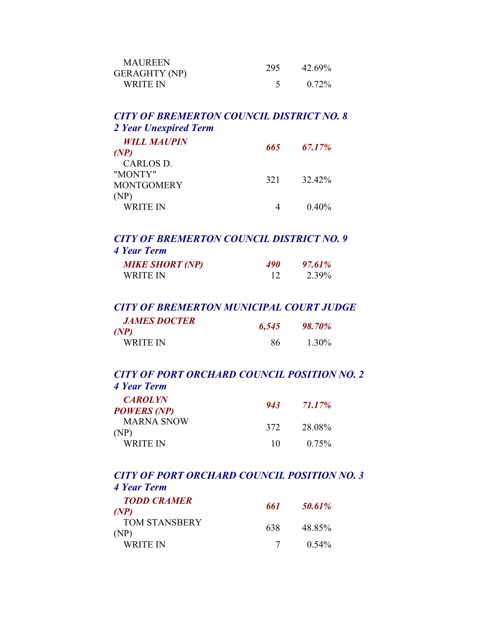| <b>MAUREEN</b><br><b>GERAGHTY (NP)</b> | 295 | 42.69%   |
|----------------------------------------|-----|----------|
| WRITE IN                               |     | $0.72\%$ |

#### *CITY OF BREMERTON COUNCIL DISTRICT NO. 8 2 Year Unexpired Term*

| <i>WILL MAUPIN</i> |     |        |
|--------------------|-----|--------|
| (NP)               | 665 | 67.17% |
| CARLOS D.          |     |        |
| "MONTY"            | 321 | 32.42% |
| <b>MONTGOMERY</b>  |     |        |
| (NP)               |     |        |
| <b>WRITE IN</b>    |     | 0.40%  |

## *CITY OF BREMERTON COUNCIL DISTRICT NO. 9 4 Year Term*

| <b>MIKE SHORT (NP)</b> | <i><b>490</b></i> | 97.61% |
|------------------------|-------------------|--------|
| WRITE IN               |                   | 2.39%  |

#### *CITY OF BREMERTON MUNICIPAL COURT JUDGE JAMES DOCTER (NP) 6,545 98.70%*

| $\mu$ vi j      |    |       |
|-----------------|----|-------|
| <b>WRITE IN</b> | 86 | 1.30% |
|                 |    |       |

#### *CITY OF PORT ORCHARD COUNCIL POSITION NO. 2 4 Year Term*

| <b>CAROLYN</b><br><b>POWERS (NP)</b> | 943 | 71.17%   |
|--------------------------------------|-----|----------|
| <b>MARNA SNOW</b><br>(NP)            | 372 | 28.08%   |
| WRITE IN                             | 10  | $0.75\%$ |

#### *CITY OF PORT ORCHARD COUNCIL POSITION NO. 3 4 Year Term*

| <b>TODD CRAMER</b><br>(NP)   | 661  | 50.61%   |
|------------------------------|------|----------|
| <b>TOM STANSBERY</b><br>(NP) | 638. | 48.85%   |
| WRITE IN                     |      | $0.54\%$ |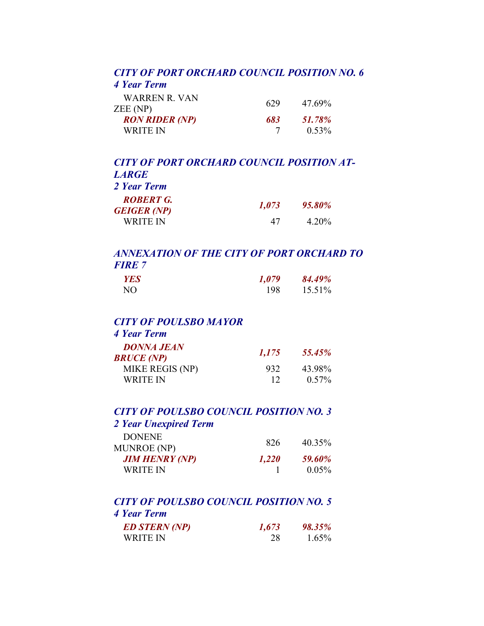#### *CITY OF PORT ORCHARD COUNCIL POSITION NO. 6 4 Year Term*

| WARREN R VAN<br>ZEE (NP)          | 629 | 47.69%             |
|-----------------------------------|-----|--------------------|
| <b>RON RIDER (NP)</b><br>WRITE IN | 683 | 51.78%<br>$0.53\%$ |

## *CITY OF PORT ORCHARD COUNCIL POSITION AT-LARGE 2 Year Term ROBERT G. GEIGER (NP) 1,073 95.80%* WRITE IN 47 4.20%

## *ANNEXATION OF THE CITY OF PORT ORCHARD TO FIRE 7*

| <b>YES</b> | 1,079 | 84.49% |
|------------|-------|--------|
| NО         | 198   | 15.51% |

#### *CITY OF POULSBO MAYOR 4 Year Term*

| 4 Year Lerm       |  |
|-------------------|--|
| <b>DONNA JEAN</b> |  |

| 1,175 | 55.45%   |
|-------|----------|
| 932   | 43.98%   |
| 12    | $0.57\%$ |
|       |          |

#### *CITY OF POULSBO COUNCIL POSITION NO. 3 2 Year Unexpired Term*

## DONENE<br>MUNROE (NP) 826 40.35%

| IVIUINNUE (INI <i>)</i> |       |          |
|-------------------------|-------|----------|
| JIM HENRY (NP)          | 1,220 | 59.60%   |
| WRITE IN                |       | $0.05\%$ |

## *CITY OF POULSBO COUNCIL POSITION NO. 5 4 Year Term*

| <b>ED STERN (NP)</b> | 1,673 | <b>98.35%</b> |
|----------------------|-------|---------------|
| WRITE IN             |       | $1.65\%$      |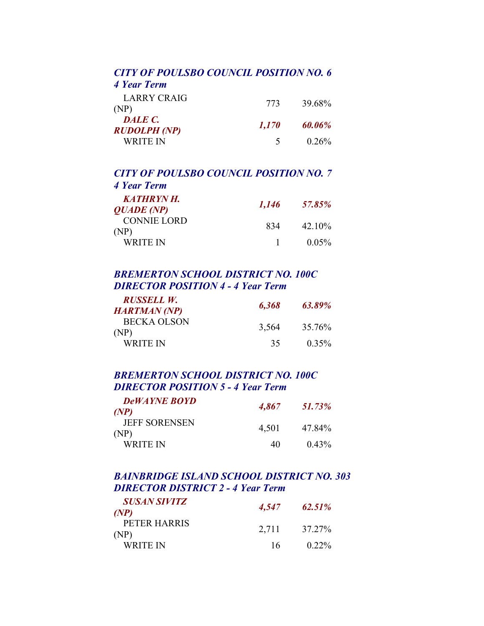## *CITY OF POULSBO COUNCIL POSITION NO. 6*

*4 Year Term* 

| LARRY CRAIG<br>(NP)     | 773      | 39.68%   |
|-------------------------|----------|----------|
| DALE C.<br>RUDOLPH (NP) | 1,170    | 60.06%   |
| WRITE IN                | $\sim$ 5 | $0.26\%$ |

#### *CITY OF POULSBO COUNCIL POSITION NO. 7 4 Year Term*

| <b>KATHRYN H.</b><br><b>QUADE</b> (NP) | 1,146 | 57.85%   |
|----------------------------------------|-------|----------|
| <b>CONNIE LORD</b><br>(NP)             | 834   | 42 10%   |
| WRITE IN                               |       | $0.05\%$ |

## *BREMERTON SCHOOL DISTRICT NO. 100C DIRECTOR POSITION 4 - 4 Year Term*

| RUSSELL W.          |       | 63.89%   |
|---------------------|-------|----------|
| <b>HARTMAN</b> (NP) | 6,368 |          |
| BECKA OLSON<br>(NP) | 3,564 | 35.76%   |
| WRITE IN            | 35.   | $0.35\%$ |

## *BREMERTON SCHOOL DISTRICT NO. 100C DIRECTOR POSITION 5 - 4 Year Term*

| <b>DeWAYNE BOYD</b><br>(NP)  | 4,867 | 51.73%   |
|------------------------------|-------|----------|
| <b>JEFF SORENSEN</b><br>(NP) | 4,501 | 47 84%   |
| WRITE IN                     | 40    | $0.43\%$ |

## *BAINBRIDGE ISLAND SCHOOL DISTRICT NO. 303 DIRECTOR DISTRICT 2 - 4 Year Term*

| <i><b>SUSAN SIVITZ</b></i><br>(P(P) | 4,547 | $62.51\%$ |
|-------------------------------------|-------|-----------|
| PETER HARRIS<br>(NP)                | 2,711 | 37.27%    |
| WRITE IN                            | 16.   | $0.22\%$  |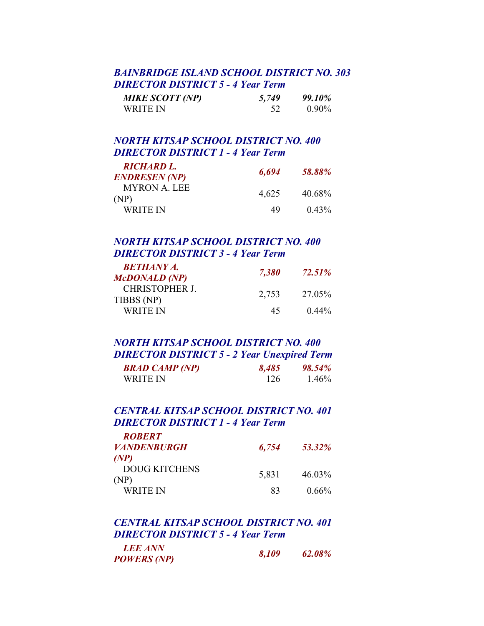## *BAINBRIDGE ISLAND SCHOOL DISTRICT NO. 303 DIRECTOR DISTRICT 5 - 4 Year Term*

| <b>MIKE SCOTT (NP)</b> | 5,749 | 99.10%   |
|------------------------|-------|----------|
| WRITE IN               |       | $0.90\%$ |

## *NORTH KITSAP SCHOOL DISTRICT NO. 400 DIRECTOR DISTRICT 1 - 4 Year Term*

| <b>RICHARD L.</b>    |       |               |
|----------------------|-------|---------------|
| <b>ENDRESEN (NP)</b> | 6,694 | <b>58.88%</b> |
| MYRON A. LEE<br>(NP) | 4,625 | 40.68%        |
| WRITE IN             | 49    | $0.43\%$      |

## *NORTH KITSAP SCHOOL DISTRICT NO. 400 DIRECTOR DISTRICT 3 - 4 Year Term*

| <b>BETHANY A.</b>            |       |               |
|------------------------------|-------|---------------|
| <b>McDONALD (NP)</b>         | 7,380 | <b>72.51%</b> |
| CHRISTOPHER J.<br>TIBBS (NP) | 2,753 | 27.05%        |
| WRITE IN                     | 45    | $0.44\%$      |

### *NORTH KITSAP SCHOOL DISTRICT NO. 400 DIRECTOR DISTRICT 5 - 2 Year Unexpired Term BRAD CAMP (NP) 8,485 98.54%* WRITE IN 126 1.46%

## *CENTRAL KITSAP SCHOOL DISTRICT NO. 401 DIRECTOR DISTRICT 1 - 4 Year Term*

| <b>ROBERT</b>         |       |          |
|-----------------------|-------|----------|
| <b>VANDENBURGH</b>    | 6,754 | 53.32%   |
| (P <sup>NP</sup> )    |       |          |
| DOUG KITCHENS<br>(NP) | 5,831 | 46.03%   |
| WRITE IN              | 83    | $0.66\%$ |

## *CENTRAL KITSAP SCHOOL DISTRICT NO. 401 DIRECTOR DISTRICT 5 - 4 Year Term*

 *LEE ANN POWERS (NP) 8,109 62.08%*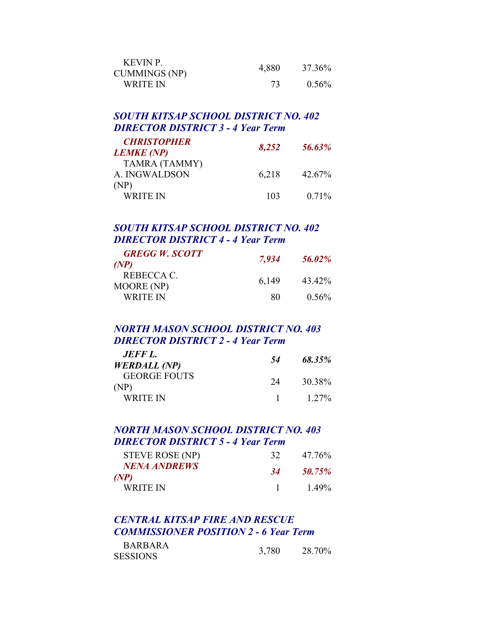| KEVIN P.<br><b>CUMMINGS (NP)</b> | 4,880 | 37.36%   |
|----------------------------------|-------|----------|
| WRITE IN                         |       | $0.56\%$ |

## *SOUTH KITSAP SCHOOL DISTRICT NO. 402 DIRECTOR DISTRICT 3 - 4 Year Term*

| <b>CHRISTOPHER</b><br><b>LEMKE</b> (NP) | 8,252 | 56.63%   |
|-----------------------------------------|-------|----------|
| TAMRA (TAMMY)<br>A. INGWALDSON          | 6,218 | 42.67%   |
| (NP)<br><b>WRITE IN</b>                 | 103   | $0.71\%$ |

## *SOUTH KITSAP SCHOOL DISTRICT NO. 402 DIRECTOR DISTRICT 4 - 4 Year Term*

| <b>GREGG W. SCOTT</b> | 7,934 | 56.02%   |
|-----------------------|-------|----------|
| (NP)                  |       |          |
| REBECCA C.            | 6,149 | 43 42%   |
| MOORE (NP)            |       |          |
| WRITE IN              | 80    | $0.56\%$ |

### *NORTH MASON SCHOOL DISTRICT NO. 403 DIRECTOR DISTRICT 2 - 4 Year Term*

| JEFF L.                     | 54 | 68.35%  |
|-----------------------------|----|---------|
| <b>WERDALL (NP)</b>         |    |         |
| <b>GEORGE FOUTS</b><br>(NP) | 24 | 30 38%  |
| WRITE IN                    |    | $127\%$ |

### *NORTH MASON SCHOOL DISTRICT NO. 403 DIRECTOR DISTRICT 5 - 4 Year Term*

| STEVE ROSE (NP)             | 32.       | 47 76%   |
|-----------------------------|-----------|----------|
| <b>NENA ANDREWS</b><br>(NP) | <b>34</b> | 50.75%   |
| WRITE IN                    |           | $1.49\%$ |

## *CENTRAL KITSAP FIRE AND RESCUE COMMISSIONER POSITION 2 - 6 Year Term*

| <b>BARBARA</b>  |       |        |
|-----------------|-------|--------|
| <b>SESSIONS</b> | 3,780 | 28.70% |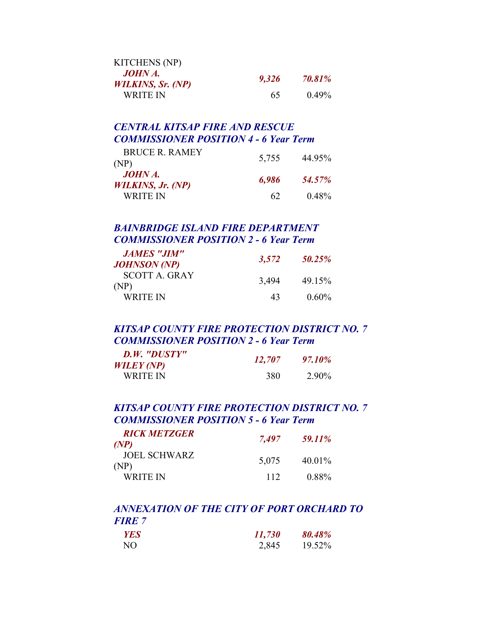| <b>KITCHENS</b> (NP)                       |       |          |
|--------------------------------------------|-------|----------|
| <b>JOHN A.</b><br><b>WILKINS, Sr. (NP)</b> | 9,326 | 70.81%   |
| WRITE IN                                   | 65.   | $0.49\%$ |

## *CENTRAL KITSAP FIRE AND RESCUE COMMISSIONER POSITION 4 - 6 Year Term*

| <b>BRUCE R. RAMEY</b><br>(NP)              | 5,755 | 44.95%   |
|--------------------------------------------|-------|----------|
| <b>JOHN A.</b><br><b>WILKINS, Jr. (NP)</b> | 6,986 | 54.57%   |
| WRITE IN                                   | 62    | $0.48\%$ |

## *BAINBRIDGE ISLAND FIRE DEPARTMENT COMMISSIONER POSITION 2 - 6 Year Term*

| <b>JAMES "JIM"</b><br>JOHNSON (NP) | 3,572 | 50.25%   |
|------------------------------------|-------|----------|
| <b>SCOTT A. GRAY</b><br>(NP)       | 3,494 | 49.15%   |
| WRITE IN                           | 43    | $0.60\%$ |

## *KITSAP COUNTY FIRE PROTECTION DISTRICT NO. 7 COMMISSIONER POSITION 2 - 6 Year Term*

| D.W. "DUSTY"<br>WILEY (NP) | 12,707 | 97.10% |
|----------------------------|--------|--------|
| WRITE IN                   | 380    | 2.90%  |

## *KITSAP COUNTY FIRE PROTECTION DISTRICT NO. 7 COMMISSIONER POSITION 5 - 6 Year Term*

| <b>RICK METZGER</b><br>(NP) | 7,497 | 59.11%   |
|-----------------------------|-------|----------|
| JOEL SCHWARZ<br>(NP)        | 5,075 | 40.01%   |
| WRITE IN                    | 112   | $0.88\%$ |

## *ANNEXATION OF THE CITY OF PORT ORCHARD TO FIRE 7*

| YES | 11,730 | 80.48% |
|-----|--------|--------|
| NО  | 2,845  | 19.52% |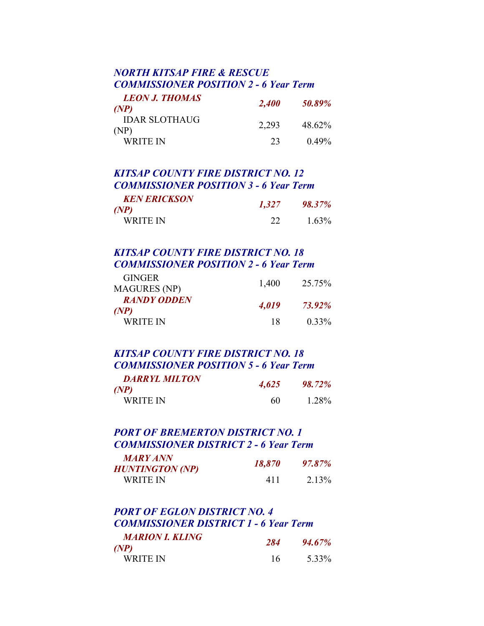## *NORTH KITSAP FIRE & RESCUE COMMISSIONER POSITION 2 - 6 Year Term*

| <b>LEON J. THOMAS</b><br>(NP) | <b>2,400</b> | 50.89%   |
|-------------------------------|--------------|----------|
| <b>IDAR SLOTHAUG</b><br>(NP)  | 2,293        | 48.62%   |
| WRITE IN                      | 23           | $0.49\%$ |

## *KITSAP COUNTY FIRE DISTRICT NO. 12 COMMISSIONER POSITION 3 - 6 Year Term*

| <b>KEN ERICKSON</b><br>(NP) | 1,327 | <b>98.37%</b> |
|-----------------------------|-------|---------------|
| WRITE IN                    |       | $1.63\%$      |

## *KITSAP COUNTY FIRE DISTRICT NO. 18 COMMISSIONER POSITION 2 - 6 Year Term*

| <b>GINGER</b><br><b>MAGURES</b> (NP) | 1,400 | 25 75%        |
|--------------------------------------|-------|---------------|
| <b>RANDY ODDEN</b><br>(NP)           | 4,019 | <b>73.92%</b> |
| WRITE IN                             | 18    | $0.33\%$      |

## *KITSAP COUNTY FIRE DISTRICT NO. 18 COMMISSIONER POSITION 5 - 6 Year Term*

| <b>DARRYL MILTON</b><br>(P(P) | 4,625 | <b>98.72%</b> |
|-------------------------------|-------|---------------|
| WRITE IN                      | 60    | 1.28%         |

#### *PORT OF BREMERTON DISTRICT NO. 1 COMMISSIONER DISTRICT 2 - 6 Year Term MARY ANN*

| <b>MARY ANN</b> |        |        |
|-----------------|--------|--------|
| HUNTINGTON (NP) | 18,870 | 97.87% |
| WRITE IN        | 411    | 2.13%  |

#### *PORT OF EGLON DISTRICT NO. 4 COMMISSIONER DISTRICT 1 - 6 Year Term MARION I. KLING*

| <i>MARION I. KLING</i><br>(NP) | 284 | 94.67% |
|--------------------------------|-----|--------|
| <b>WRITE IN</b>                | 16  | 5.33%  |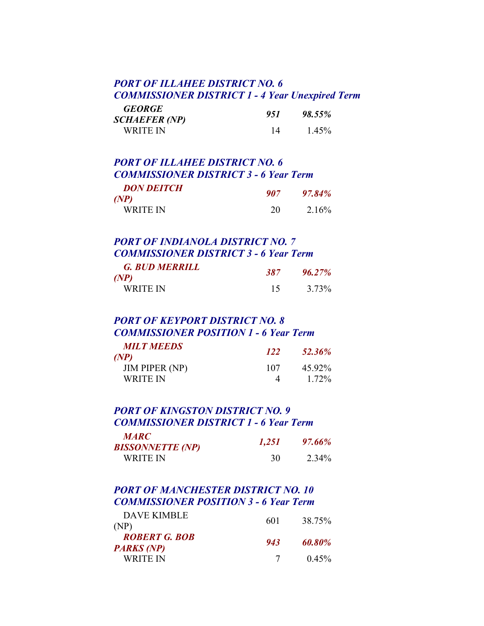## *PORT OF ILLAHEE DISTRICT NO. 6 COMMISSIONER DISTRICT 1 - 4 Year Unexpired Term*

| <b>GEORGE</b> | 951 | 98.55% |
|---------------|-----|--------|
| SCHAEFER (NP) |     |        |
| WRITE IN      | 14  | 1.45%  |

## *PORT OF ILLAHEE DISTRICT NO. 6 COMMISSIONER DISTRICT 3 - 6 Year Term*

| <b>DON DEITCH</b><br>(P(P) | 907 | 97.84% |
|----------------------------|-----|--------|
| WRITE IN                   | 20  | 2.16%  |

## *PORT OF INDIANOLA DISTRICT NO. 7 COMMISSIONER DISTRICT 3 - 6 Year Term*

| <b>G. BUD MERRILL</b><br>(P <sup>NP</sup> ) | 387 | $96.27\%$ |
|---------------------------------------------|-----|-----------|
| <b>WRITE IN</b>                             | 15  | 3.73%     |

## *PORT OF KEYPORT DISTRICT NO. 8 COMMISSIONER POSITION 1 - 6 Year Term*

| <b>MILT MEEDS</b>     | <b>122</b> | 52.36% |
|-----------------------|------------|--------|
| (NP)                  |            |        |
| <b>JIM PIPER (NP)</b> | 107        | 45 92% |
| WRITE IN              |            | 172%   |

#### *PORT OF KINGSTON DISTRICT NO. 9 COMMISSIONER DISTRICT 1 - 6 Year Term*   $\frac{1}{2}$

| <i><b>MARC</b></i>      | 1,251 | 97.66% |
|-------------------------|-------|--------|
| <b>BISSONNETTE (NP)</b> |       |        |
| WRITE IN                | 30    | 2.34%  |

## *PORT OF MANCHESTER DISTRICT NO. 10 COMMISSIONER POSITION 3 - 6 Year Term*

| <b>DAVE KIMBLE</b><br>(NP)                | 601 | 38.75%   |
|-------------------------------------------|-----|----------|
| <b>ROBERT G. BOB</b><br><b>PARKS</b> (NP) | 943 | 60.80%   |
| WRITE IN                                  |     | $0.45\%$ |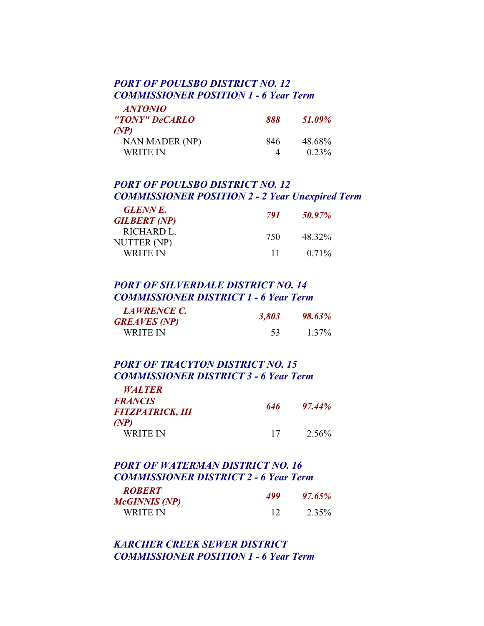## *PORT OF POULSBO DISTRICT NO. 12 COMMISSIONER POSITION 1 - 6 Year Term*

 *ANTONIO* 

| <i><b>ANTONIO</b></i><br>"TONY" DeCARLO | 888 | 51.09%             |
|-----------------------------------------|-----|--------------------|
| (P(P)<br>NAN MADER (NP)<br>WRITE IN     | 846 | 48.68%<br>$0.23\%$ |

## *PORT OF POULSBO DISTRICT NO. 12 COMMISSIONER POSITION 2 - 2 Year Unexpired Term*

| <b>GLENNE.</b>      | 791  | 50.97%   |
|---------------------|------|----------|
| <b>GILBERT</b> (NP) |      |          |
| RICHARD L.          | 750  | 48 32%   |
| NUTTER (NP)         |      |          |
| WRITE IN            | -1-1 | $0.71\%$ |

## *PORT OF SILVERDALE DISTRICT NO. 14 COMMISSIONER DISTRICT 1 - 6 Year Term*

| <b>LAWRENCE C.</b><br><b>GREAVES</b> (NP) | 3,803 | <b>98.63%</b> |
|-------------------------------------------|-------|---------------|
| WRITE IN                                  | 53.   | $1.37\%$      |

#### *PORT OF TRACYTON DISTRICT NO. 15 COMMISSIONER DISTRICT 3 - 6 Year Term WALTER*

| <i><b>WALTER</b></i><br><b>FRANCIS</b><br><b>FITZPATRICK, III</b> | 646 | $97.44\%$         |
|-------------------------------------------------------------------|-----|-------------------|
| (P <sup>NP</sup> )<br><b>WRITE IN</b>                             | 17  | 2.56 <sup>%</sup> |

## *PORT OF WATERMAN DISTRICT NO. 16 COMMISSIONER DISTRICT 2 - 6 Year Term ROBERT McGINNIS (NP) 499 97.65%* WRITE IN 12 2.35%

*KARCHER CREEK SEWER DISTRICT COMMISSIONER POSITION 1 - 6 Year Term*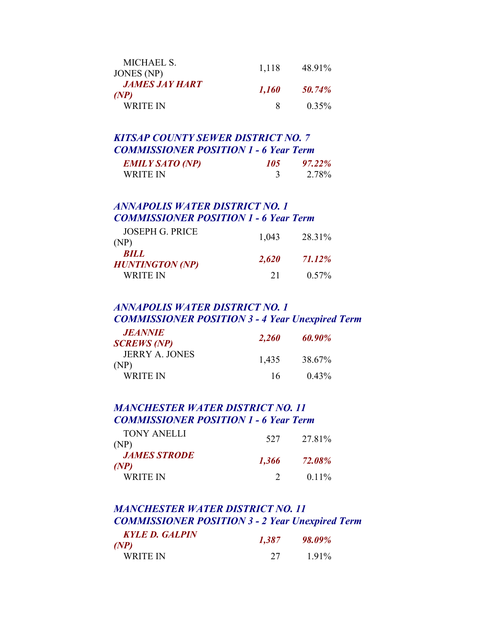| MICHAEL S.<br>JONES (NP)             | 1,118 | 48.91%   |
|--------------------------------------|-------|----------|
| <i><b>JAMES JAY HART</b></i><br>(NP) | 1,160 | 50.74%   |
| WRITE IN                             | x.    | $0.35\%$ |

### *KITSAP COUNTY SEWER DISTRICT NO. 7 COMMISSIONER POSITION 1 - 6 Year Term*

| <b>EMILY SATO (NP)</b> | 105 | 97.22% |
|------------------------|-----|--------|
| WRITE IN               |     | 2.78%  |

## *ANNAPOLIS WATER DISTRICT NO. 1 COMMISSIONER POSITION 1 - 6 Year Term*

| WRITE IN                              | 21    | $0.57\%$ |
|---------------------------------------|-------|----------|
| <b>BILL</b><br><b>HUNTINGTON (NP)</b> | 2,620 | 71.12%   |
| <b>JOSEPH G. PRICE</b><br>(NP)        | 1,043 | 28.31%   |

## *ANNAPOLIS WATER DISTRICT NO. 1 COMMISSIONER POSITION 3 - 4 Year Unexpired Term*

| <b>JEANNIE</b><br><b>SCREWS (NP)</b> | 2,260 | 60.90% |
|--------------------------------------|-------|--------|
| <b>JERRY A. JONES</b><br>(NP)        | 1.435 | 38.67% |
| WRITE IN                             | 16    | 0.43%  |

## *MANCHESTER WATER DISTRICT NO. 11 COMMISSIONER POSITION 1 - 6 Year Term*

| TONY ANELLI<br>(NP)        | 527   | 27 81%        |
|----------------------------|-------|---------------|
| <b>JAMES STRODE</b><br>(P) | 1,366 | <b>72.08%</b> |
| WRITE IN                   |       | $0.11\%$      |

## *MANCHESTER WATER DISTRICT NO. 11 COMMISSIONER POSITION 3 - 2 Year Unexpired Term*

| <b>KYLE D. GALPIN</b><br>(NP) | 1,387 | 98.09% |
|-------------------------------|-------|--------|
| WRITE IN                      | 27    | 1.91%  |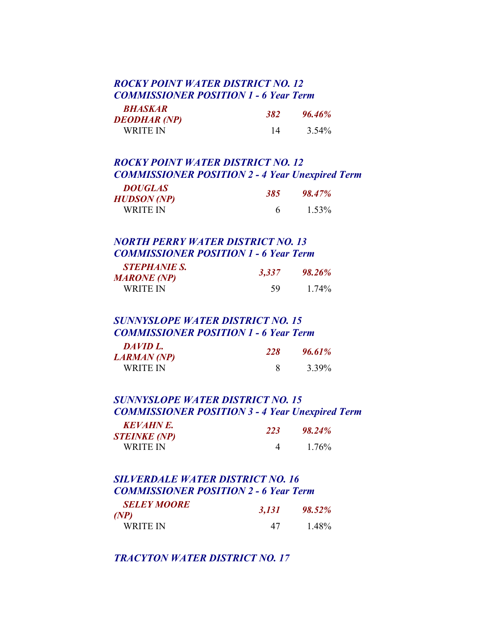### *ROCKY POINT WATER DISTRICT NO. 12 COMMISSIONER POSITION 1 - 6 Year Term*

| BHASKAR             | 382 |               |
|---------------------|-----|---------------|
| <b>DEODHAR (NP)</b> |     | <b>96.46%</b> |
| WRITE IN            | 14  | 3.54%         |

## *ROCKY POINT WATER DISTRICT NO. 12 COMMISSIONER POSITION 2 - 4 Year Unexpired Term*

| <b>DOUGLAS</b>     | <b>385</b> | 98.47% |
|--------------------|------------|--------|
| <b>HUDSON</b> (NP) |            |        |
| WRITE IN           |            | 1.53%  |

## *NORTH PERRY WATER DISTRICT NO. 13 COMMISSIONER POSITION 1 - 6 Year Term*

| <b>STEPHANIE S.</b> | 3,337 | <b>98.26%</b> |
|---------------------|-------|---------------|
| <b>MARONE (NP)</b>  |       |               |
| WRITE IN            | 59    | 174%          |

### *SUNNYSLOPE WATER DISTRICT NO. 15 COMMISSIONER POSITION 1 - 6 Year Term*

| DAVID L.    | 228 | 96.61% |
|-------------|-----|--------|
| LARMAN (NP) |     |        |
| WRITE IN    |     | 3.39%  |

## *SUNNYSLOPE WATER DISTRICT NO. 15 COMMISSIONER POSITION 3 - 4 Year Unexpired Term*

| <b>KEVAHNE.</b><br><b>STEINKE (NP)</b> | <b>223</b> | 98.24% |
|----------------------------------------|------------|--------|
| WRITE IN                               |            | 1.76%  |

### *SILVERDALE WATER DISTRICT NO. 16 COMMISSIONER POSITION 2 - 6 Year Term SELEY MOORE (NP) 3,131 98.52%* WRITE IN 47 1.48%

## *TRACYTON WATER DISTRICT NO. 17*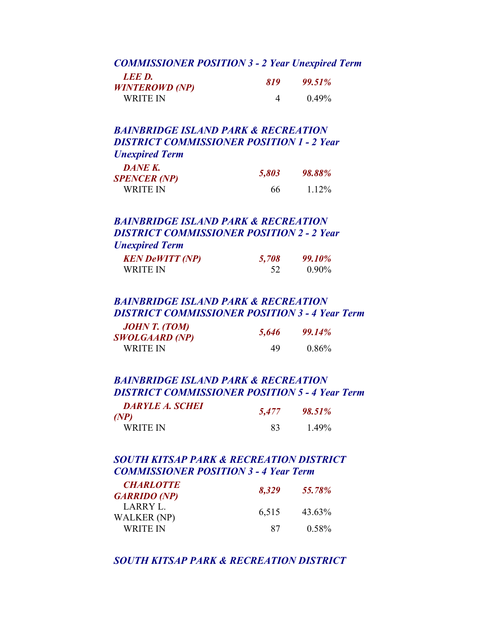#### *COMMISSIONER POSITION 3 - 2 Year Unexpired Term*

| LEE D.                | 819 | 99.51% |
|-----------------------|-----|--------|
| <b>WINTEROWD</b> (NP) |     |        |
| WRITE IN              |     | 0.49%  |

### *BAINBRIDGE ISLAND PARK & RECREATION DISTRICT COMMISSIONER POSITION 1 - 2 Year Unexpired Term*

| DANE K.<br><b>SPENCER (NP)</b> | 5,803 | 98.88% |
|--------------------------------|-------|--------|
| WRITE IN                       | 66    | 1 1 2% |

#### *BAINBRIDGE ISLAND PARK & RECREATION DISTRICT COMMISSIONER POSITION 2 - 2 Year Unexpired Term*

| <b>KEN DeWITT (NP)</b> | 5,708 | 99.10%   |
|------------------------|-------|----------|
| WRITE IN               | 52    | $0.90\%$ |

### *BAINBRIDGE ISLAND PARK & RECREATION DISTRICT COMMISSIONER POSITION 3 - 4 Year Term*

| JOHN T. (TOM)<br><b>SWOLGAARD (NP)</b> | 5,646 | 99.14%   |
|----------------------------------------|-------|----------|
| WRITE IN                               | 49    | $0.86\%$ |

## *BAINBRIDGE ISLAND PARK & RECREATION DISTRICT COMMISSIONER POSITION 5 - 4 Year Term*

| <b>DARYLE A. SCHEI</b><br>(NP) | 5,477 | 98.51%   |
|--------------------------------|-------|----------|
| WRITE IN                       | 83    | $1.49\%$ |

### *SOUTH KITSAP PARK & RECREATION DISTRICT COMMISSIONER POSITION 3 - 4 Year Term*

| <b>CHARLOTTE</b><br><b>GARRIDO (NP)</b> | 8,329 | 55.78%   |
|-----------------------------------------|-------|----------|
| LARRY L.<br>WALKER (NP)                 | 6,515 | 43.63%   |
| WRITE IN                                | 87    | $0.58\%$ |

#### *SOUTH KITSAP PARK & RECREATION DISTRICT*